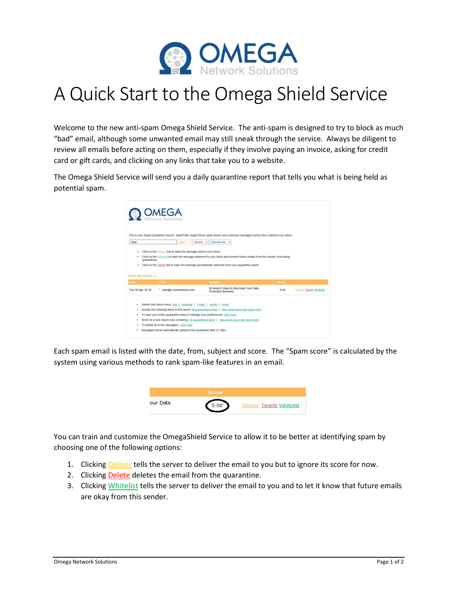

## A Quick Start to the Omega Shield Service

Welcome to the new anti-spam Omega Shield Service. The anti-spam is designed to try to block as much "bad" email, although some unwanted email may still sneak through the service. Always be diligent to review all emails before acting on them, especially if they involve paying an invoice, asking for credit card or gift cards, and clicking on any links that take you to a website.

The Omega Shield Service will send you a daily quarantine report that tells you what is being held as potential spam.



Each spam email is listed with the date, from, subject and score. The "Spam score" is calculated by the system using various methods to rank spam-like features in an email.



You can train and customize the OmegaShield Service to allow it to be better at identifying spam by choosing one of the following options:

- 1. Clicking Deliver tells the server to deliver the email to you but to ignore its score for now.
- 2. Clicking Delete deletes the email from the quarantine.
- 3. Clicking Whitelist tells the server to deliver the email to you and to let it know that future emails are okay from this sender.